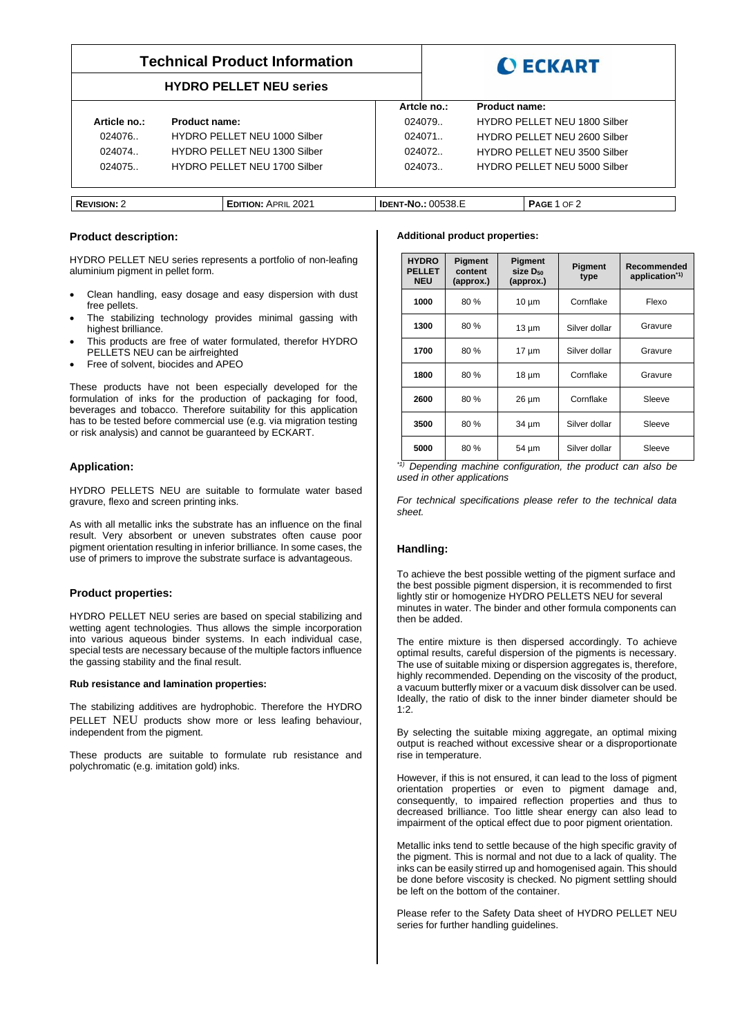# **Technical Product Information**

# **HYDRO PELLET NEU series**



|                    |                              | Artcle no.:               | <b>Product name:</b> |                              |
|--------------------|------------------------------|---------------------------|----------------------|------------------------------|
| Article no.:       | Product name:                | 024079.                   |                      | HYDRO PELLET NEU 1800 Silber |
| 024076.            | HYDRO PELLET NEU 1000 Silber | 024071                    |                      | HYDRO PELLET NEU 2600 Silber |
| 024074.            | HYDRO PELLET NEU 1300 Silber | 024072.                   |                      | HYDRO PELLET NEU 3500 Silber |
| 024075.            | HYDRO PELLET NEU 1700 Silber | 024073.                   |                      | HYDRO PELLET NEU 5000 Silber |
|                    |                              |                           |                      |                              |
|                    |                              |                           |                      |                              |
| <b>REVISION: 2</b> | <b>EDITION: APRIL 2021</b>   | <b>IDENT-NO.: 00538.E</b> |                      | <b>PAGE 1 OF 2</b>           |

### **Product description:**

HYDRO PELLET NEU series represents a portfolio of non-leafing aluminium pigment in pellet form.

- Clean handling, easy dosage and easy dispersion with dust free pellets.
- The stabilizing technology provides minimal gassing with highest brilliance.
- This products are free of water formulated, therefor HYDRO PELLETS NEU can be airfreighted
- Free of solvent, biocides and APEO

These products have not been especially developed for the formulation of inks for the production of packaging for food, beverages and tobacco. Therefore suitability for this application has to be tested before commercial use (e.g. via migration testing or risk analysis) and cannot be guaranteed by ECKART.

# **Application:**

HYDRO PELLETS NEU are suitable to formulate water based gravure, flexo and screen printing inks.

As with all metallic inks the substrate has an influence on the final result. Very absorbent or uneven substrates often cause poor pigment orientation resulting in inferior brilliance. In some cases, the use of primers to improve the substrate surface is advantageous.

# **Product properties:**

HYDRO PELLET NEU series are based on special stabilizing and wetting agent technologies. Thus allows the simple incorporation into various aqueous binder systems. In each individual case, special tests are necessary because of the multiple factors influence the gassing stability and the final result.

#### **Rub resistance and lamination properties:**

The stabilizing additives are hydrophobic. Therefore the HYDRO PELLET NEU products show more or less leafing behaviour, independent from the pigment.

These products are suitable to formulate rub resistance and polychromatic (e.g. imitation gold) inks.

### **Additional product properties:**

| <b>HYDRO</b><br><b>PELLET</b><br><b>NEU</b> | <b>Pigment</b><br>content<br>(approx.) | Pigment<br>size D <sub>50</sub><br>(approx.) | Pigment<br>type | Recommended<br>application <sup>*1)</sup> |
|---------------------------------------------|----------------------------------------|----------------------------------------------|-----------------|-------------------------------------------|
| 1000                                        | 80%                                    | $10 \mu m$                                   | Cornflake       | Flexo                                     |
| 1300                                        | 80%                                    | $13 \mu m$                                   | Silver dollar   | Gravure                                   |
| 1700                                        | 80%                                    | $17 \mu m$                                   | Silver dollar   | Gravure                                   |
| 1800                                        | 80%                                    | 18 µm                                        | Cornflake       | Gravure                                   |
| 2600                                        | 80%                                    | 26 µm                                        | Cornflake       | Sleeve                                    |
| 3500                                        | 80%                                    | 34 µm                                        | Silver dollar   | Sleeve                                    |
| 5000                                        | 80%                                    | 54 µm                                        | Silver dollar   | Sleeve                                    |

*\*1) Depending machine configuration, the product can also be used in other applications*

*For technical specifications please refer to the technical data sheet.*

# **Handling:**

To achieve the best possible wetting of the pigment surface and the best possible pigment dispersion, it is recommended to first lightly stir or homogenize HYDRO PELLETS NEU for several minutes in water. The binder and other formula components can then be added.

The entire mixture is then dispersed accordingly. To achieve optimal results, careful dispersion of the pigments is necessary. The use of suitable mixing or dispersion aggregates is, therefore, highly recommended. Depending on the viscosity of the product, a vacuum butterfly mixer or a vacuum disk dissolver can be used. Ideally, the ratio of disk to the inner binder diameter should be 1:2.

By selecting the suitable mixing aggregate, an optimal mixing output is reached without excessive shear or a disproportionate rise in temperature.

However, if this is not ensured, it can lead to the loss of pigment orientation properties or even to pigment damage and, consequently, to impaired reflection properties and thus to decreased brilliance. Too little shear energy can also lead to impairment of the optical effect due to poor pigment orientation.

Metallic inks tend to settle because of the high specific gravity of the pigment. This is normal and not due to a lack of quality. The inks can be easily stirred up and homogenised again. This should be done before viscosity is checked. No pigment settling should be left on the bottom of the container.

Please refer to the Safety Data sheet of HYDRO PELLET NEU series for further handling guidelines.